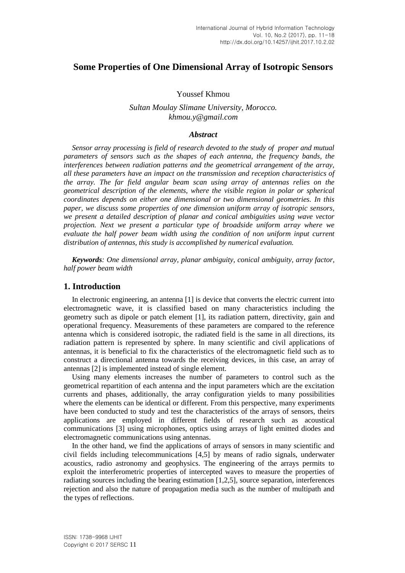# **Some Properties of One Dimensional Array of Isotropic Sensors**

## Youssef Khmou

## *Sultan Moulay Slimane University, Morocco. khmou.y@gmail.com*

#### *Abstract*

*Sensor array processing is field of research devoted to the study of proper and mutual parameters of sensors such as the shapes of each antenna, the frequency bands, the interferences between radiation patterns and the geometrical arrangement of the array, all these parameters have an impact on the transmission and reception characteristics of the array. The far field angular beam scan using array of antennas relies on the geometrical description of the elements, where the visible region in polar or spherical coordinates depends on either one dimensional or two dimensional geometries. In this paper, we discuss some properties of one dimension uniform array of isotropic sensors, we present a detailed description of planar and conical ambiguities using wave vector projection. Next we present a particular type of broadside uniform array where we evaluate the half power beam width using the condition of non uniform input current distribution of antennas, this study is accomplished by numerical evaluation.*

*Keywords: One dimensional array, planar ambiguity, conical ambiguity, array factor, half power beam width*

## **1. Introduction**

In electronic engineering, an antenna [1] is device that converts the electric current into electromagnetic wave, it is classified based on many characteristics including the geometry such as dipole or patch element [1], its radiation pattern, directivity, gain and operational frequency. Measurements of these parameters are compared to the reference antenna which is considered isotropic, the radiated field is the same in all directions, its radiation pattern is represented by sphere. In many scientific and civil applications of antennas, it is beneficial to fix the characteristics of the electromagnetic field such as to construct a directional antenna towards the receiving devices, in this case, an array of antennas [2] is implemented instead of single element.

Using many elements increases the number of parameters to control such as the geometrical repartition of each antenna and the input parameters which are the excitation currents and phases, additionally, the array configuration yields to many possibilities where the elements can be identical or different. From this perspective, many experiments have been conducted to study and test the characteristics of the arrays of sensors, theirs applications are employed in different fields of research such as acoustical communications [3] using microphones, optics using arrays of light emitted diodes and electromagnetic communications using antennas.

In the other hand, we find the applications of arrays of sensors in many scientific and civil fields including telecommunications [4,5] by means of radio signals, underwater acoustics, radio astronomy and geophysics. The engineering of the arrays permits to exploit the interferometric properties of intercepted waves to measure the properties of radiating sources including the bearing estimation [1,2,5], source separation, interferences rejection and also the nature of propagation media such as the number of multipath and the types of reflections.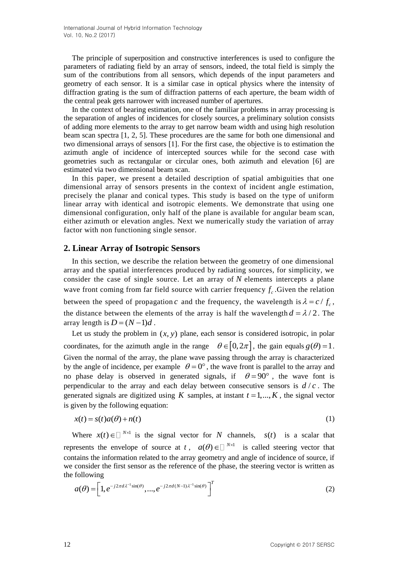The principle of superposition and constructive interferences is used to configure the parameters of radiating field by an array of sensors, indeed, the total field is simply the sum of the contributions from all sensors, which depends of the input parameters and geometry of each sensor. It is a similar case in optical physics where the intensity of diffraction grating is the sum of diffraction patterns of each aperture, the beam width of the central peak gets narrower with increased number of apertures.

In the context of bearing estimation, one of the familiar problems in array processing is the separation of angles of incidences for closely sources, a preliminary solution consists of adding more elements to the array to get narrow beam width and using high resolution beam scan spectra [1, 2, 5]. These procedures are the same for both one dimensional and two dimensional arrays of sensors [1]. For the first case, the objective is to estimation the azimuth angle of incidence of intercepted sources while for the second case with geometries such as rectangular or circular ones, both azimuth and elevation [6] are estimated via two dimensional beam scan.

In this paper, we present a detailed description of spatial ambiguities that one dimensional array of sensors presents in the context of incident angle estimation, precisely the planar and conical types. This study is based on the type of uniform linear array with identical and isotropic elements. We demonstrate that using one dimensional configuration, only half of the plane is available for angular beam scan, either azimuth or elevation angles. Next we numerically study the variation of array factor with non functioning single sensor.

## **2. Linear Array of Isotropic Sensors**

In this section, we describe the relation between the geometry of one dimensional array and the spatial interferences produced by radiating sources, for simplicity, we consider the case of single source. Let an array of  $N$  elements intercepts a plane wave front coming from far field source with carrier frequency  $f_c$ . Given the relation between the speed of propagation c and the frequency, the wavelength is  $\lambda = c / f_c$ , the distance between the elements of the array is half the wavelength  $d = \lambda/2$ . The array length is  $D = (N-1)d$ .

Let us study the problem in  $(x, y)$  plane, each sensor is considered isotropic, in polar coordinates, for the azimuth angle in the range  $\theta \in [0, 2\pi]$ , the gain equals  $g(\theta) = 1$ . Given the normal of the array, the plane wave passing through the array is characterized by the angle of incidence, per example  $\theta = 0^{\circ}$ , the wave front is parallel to the array and no phase delay is observed in generated signals, if  $\theta = 90^{\circ}$ , the wave font is perpendicular to the array and each delay between consecutive sensors is  $d/c$ . The generated signals are digitized using K samples, at instant  $t = 1, ..., K$ , the signal vector is given by the following equation:

$$
x(t) = s(t)a(\theta) + n(t)
$$
\n(1)

Where  $x(t) \in \mathbb{R}^{N \times 1}$  is the signal vector for N channels,  $s(t)$  is a scalar that represents the envelope of source at t,  $a(\theta) \in \Box^{N \times 1}$  is called steering vector that contains the information related to the array geometry and angle of incidence of source, if we consider the first sensor as the reference of the phase, the steering vector is written as the following

following  
\n
$$
a(\theta) = \left[1, e^{-j2\pi d\lambda^{-1}\sin(\theta)}, \dots, e^{-j2\pi d(N-1)\lambda^{-1}\sin(\theta)}\right]^T
$$
\n(2)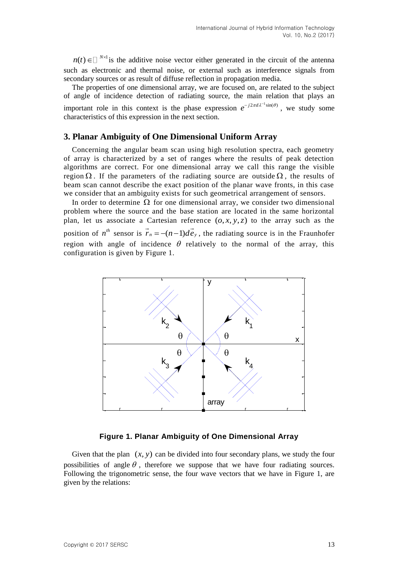$n(t) \in \Box^{N \times 1}$  is the additive noise vector either generated in the circuit of the antenna such as electronic and thermal noise, or external such as interference signals from secondary sources or as result of diffuse reflection in propagation media.

The properties of one dimensional array, we are focused on, are related to the subject of angle of incidence detection of radiating source, the main relation that plays an important role in this context is the phase expression  $e^{-j2\pi d\lambda^{-1}\sin(\theta)}$ , we study some characteristics of this expression in the next section.

## **3. Planar Ambiguity of One Dimensional Uniform Array**

Concerning the angular beam scan using high resolution spectra, each geometry of array is characterized by a set of ranges where the results of peak detection algorithms are correct. For one dimensional array we call this range the visible region  $\Omega$ . If the parameters of the radiating source are outside  $\Omega$ , the results of beam scan cannot describe the exact position of the planar wave fronts, in this case we consider that an ambiguity exists for such geometrical arrangement of sensors.

In order to determine  $\Omega$  for one dimensional array, we consider two dimensional problem where the source and the base station are located in the same horizontal plan, let us associate a Cartesian reference  $(o, x, y, z)$  to the array such as the position of  $n^{th}$  sensor is  $\overrightarrow{r}_n = -(n-1)d\overrightarrow{e}_y$ , the radiating source is in the Fraunhofer region with angle of incidence  $\theta$  relatively to the normal of the array, this configuration is given by Figure 1.



## **Figure 1. Planar Ambiguity of One Dimensional Array**

Given that the plan  $(x, y)$  can be divided into four secondary plans, we study the four possibilities of angle  $\theta$ , therefore we suppose that we have four radiating sources. Following the trigonometric sense, the four wave vectors that we have in Figure 1, are given by the relations: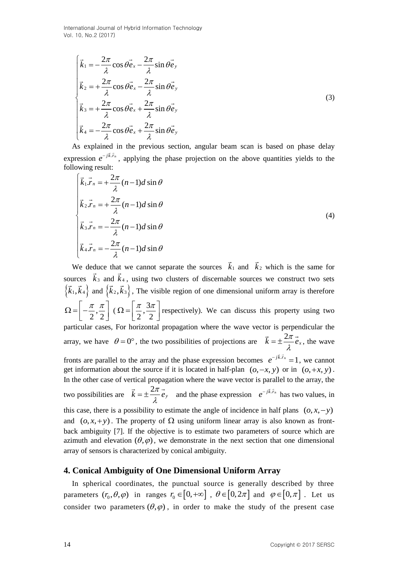International Journal of Hybrid Information Technology Vol. 10, No.2 (2017)

$$
\begin{cases}\n\vec{k}_1 = -\frac{2\pi}{\lambda}\cos\theta \vec{e}_x - \frac{2\pi}{\lambda}\sin\theta \vec{e}_y \\
\vec{k}_2 = +\frac{2\pi}{\lambda}\cos\theta \vec{e}_x - \frac{2\pi}{\lambda}\sin\theta \vec{e}_y \\
\vec{k}_3 = +\frac{2\pi}{\lambda}\cos\theta \vec{e}_x + \frac{2\pi}{\lambda}\sin\theta \vec{e}_y \\
\vec{k}_4 = -\frac{2\pi}{\lambda}\cos\theta \vec{e}_x + \frac{2\pi}{\lambda}\sin\theta \vec{e}_y\n\end{cases}
$$
\n(3)

As explained in the previous section, angular beam scan is based on phase delay expression  $e^{-j\vec{k} \cdot \vec{r}_n}$ , applying the phase projection on the above quantities yields to the following result:  $\sqrt{ }$ 

$$
\begin{cases}\n\vec{k}_1 \cdot \vec{r}_n = +\frac{2\pi}{\lambda} (n-1)d \sin \theta \\
\vec{k}_2 \cdot \vec{r}_n = +\frac{2\pi}{\lambda} (n-1)d \sin \theta \\
\vec{k}_3 \cdot \vec{r}_n = -\frac{2\pi}{\lambda} (n-1)d \sin \theta \\
\vec{k}_4 \cdot \vec{r}_n = -\frac{2\pi}{\lambda} (n-1)d \sin \theta\n\end{cases}
$$
\n(4)

We deduce that we cannot separate the sources  $k_1$  and  $k_2$  which is the same for sources  $k_3$  and  $k_4$ , using two clusters of discernable sources we construct two sets  $\{\vec{k}_1, \vec{k}_4\}$  and  $\{\vec{k}_2, \vec{k}_3\}$ , The visible region of one dimensional uniform array is therefore ,  $2^{\degree}2$  $\Omega = \left[-\frac{\pi}{2}, \frac{\pi}{2}\right]$  ( $\Omega = \left[\frac{\pi}{2}, \frac{3\pi}{2}\right]$  $2^{\degree}$  2  $\Omega = \left[\frac{\pi}{2}, \frac{3\pi}{2}\right]$  respectively). We can discuss this property using two particular cases, For horizontal propagation where the wave vector is perpendicular the array, we have  $\theta = 0^{\circ}$ , the two possibilities of projections are  $\vec{k} = \pm \frac{2\pi}{\epsilon} \vec{e}_x$  $=\pm \frac{2\pi}{\lambda}e_x$ , the wave fronts are parallel to the array and the phase expression becomes  $e^{-jk.r_n} = 1$ , we cannot get information about the source if it is located in half-plan  $(0, -x, y)$  or in  $(0, +x, y)$ . In the other case of vertical propagation where the wave vector is parallel to the array, the two possibilities are  $\vec{k} = \pm \frac{2\pi}{\hat{i}} \vec{e}_y$  $= \pm \frac{2\pi}{\lambda} \vec{e}_y$  and the phase expression  $e^{-jk.r_n}$  has two values, in this case, there is a possibility to estimate the angle of incidence in half plans  $(0, x, -y)$ and  $(o, x, +y)$ . The property of  $\Omega$  using uniform linear array is also known as frontback ambiguity [7]. If the objective is to estimate two parameters of source which are azimuth and elevation  $(\theta, \varphi)$ , we demonstrate in the next section that one dimensional array of sensors is characterized by conical ambiguity.

## **4. Conical Ambiguity of One Dimensional Uniform Array**

In spherical coordinates, the punctual source is generally described by three parameters  $(r_0, \theta, \varphi)$  in ranges  $r_0 \in [0, +\infty]$ ,  $\theta \in [0, 2\pi]$  and  $\varphi \in [0, \pi]$ . Let us consider two parameters  $(\theta, \varphi)$ , in order to make the study of the present case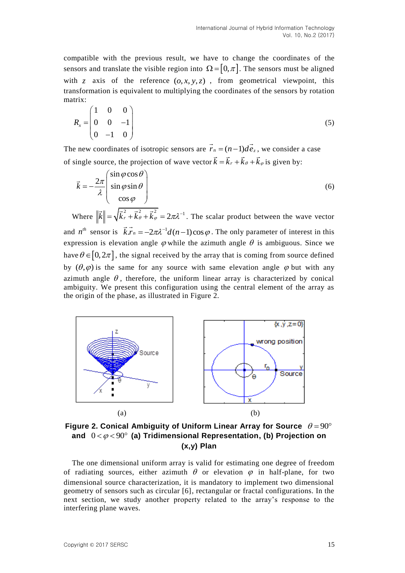compatible with the previous result, we have to change the coordinates of the sensors and translate the visible region into  $\Omega = [0, \pi]$ . The sensors must be aligned with  $z$  axis of the reference  $(0, x, y, z)$ , from geometrical viewpoint, this transformation is equivalent to multiplying the coordinates of the sensors by rotation matrix:

$$
R_x = \begin{pmatrix} 1 & 0 & 0 \\ 0 & 0 & -1 \\ 0 & -1 & 0 \end{pmatrix}
$$
 (5)

The new coordinates of isotropic sensors are  $\overline{r_n} = (n-1)d\overline{e_z}$ , we consider a case of single source, the projection of wave vector  $\vec{k} = \vec{k}_r + \vec{k}_\theta + \vec{k}_\phi$  is given by:

$$
\vec{k} = -\frac{2\pi}{\lambda} \begin{pmatrix} \sin\varphi\cos\theta \\ \sin\varphi\sin\theta \\ \cos\varphi \end{pmatrix}
$$
 (6)

Where  $\|\vec{k}\| = \sqrt{\vec{k}_r^2 + \vec{k}_\theta^2 + \vec{k}_\phi^2} = 2\pi\lambda^{-1}$ . The scalar product between the wave vector and  $n^{th}$  sensor is  $\vec{k} \cdot \vec{r}_n = -2\pi \lambda^{-1} d(n-1) \cos \varphi$ . The only parameter of interest in this expression is elevation angle  $\varphi$  while the azimuth angle  $\theta$  is ambiguous. Since we have  $\theta \in [0, 2\pi]$ , the signal received by the array that is coming from source defined by  $(\theta, \varphi)$  is the same for any source with same elevation angle  $\varphi$  but with any azimuth angle  $\theta$ , therefore, the uniform linear array is characterized by conical ambiguity. We present this configuration using the central element of the array as the origin of the phase, as illustrated in Figure 2.



Figure 2. Conical Ambiguity of Uniform Linear Array for Source  $\theta = 90^{\circ}$ and  $0 < \varphi < 90^\circ$  (a) Tridimensional Representation, (b) Projection on **(x,y) Plan**

The one dimensional uniform array is valid for estimating one degree of freedom of radiating sources, either azimuth  $\theta$  or elevation  $\varphi$  in half-plane, for two dimensional source characterization, it is mandatory to implement two dimensional geometry of sensors such as circular [6], rectangular or fractal configurations. In the next section, we study another property related to the array's response to the interfering plane waves.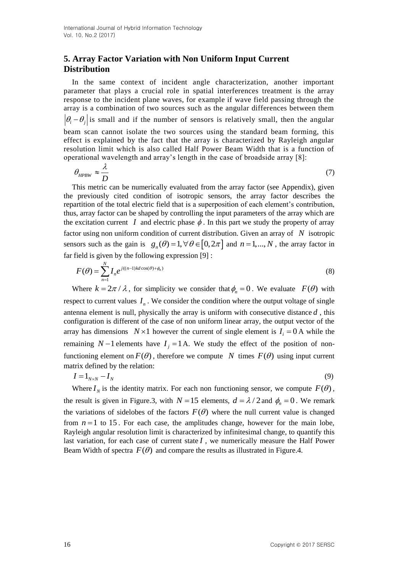# **5. Array Factor Variation with Non Uniform Input Current Distribution**

In the same context of incident angle characterization, another important parameter that plays a crucial role in spatial interferences treatment is the array response to the incident plane waves, for example if wave field passing through the array is a combination of two sources such as the angular differences between them  $|\theta_i - \theta_j|$  is small and if the number of sensors is relatively small, then the angular beam scan cannot isolate the two sources using the standard beam forming, this effect is explained by the fact that the array is characterized by Rayleigh angular resolution limit which is also called Half Power Beam Width that is a function of operational wavelength and array's length in the case of broadside array [8]:

$$
\theta_{HPBW} \approx \frac{\lambda}{D} \tag{7}
$$

This metric can be numerically evaluated from the array factor (see Appendix), given the previously cited condition of isotropic sensors, the array factor describes the repartition of the total electric field that is a superposition of each element's contribution, thus, array factor can be shaped by controlling the input parameters of the array which are the excitation current  $I$  and electric phase  $\phi$ . In this part we study the property of array factor using non uniform condition of current distribution. Given an array of N isotropic sensors such as the gain is  $g_n(\theta) = 1, \forall \theta \in [0, 2\pi]$  and  $n = 1, ..., N$ , the array factor in far field is given by the following expression [9] :

$$
F(\theta) = \sum_{n=1}^{N} I_n e^{j((n-1)kd\cos(\theta) + \phi_n)}
$$
\n(8)

Where  $k = 2\pi / \lambda$ , for simplicity we consider that  $\phi_n = 0$ . We evaluate  $F(\theta)$  with respect to current values  $I_n$ . We consider the condition where the output voltage of single antenna element is null, physically the array is uniform with consecutive distance *d* , this configuration is different of the case of non uniform linear array, the output vector of the array has dimensions  $N \times 1$  however the current of single element is  $I_i = 0$  A while the remaining  $N-1$  elements have  $I_j = 1$  A. We study the effect of the position of nonfunctioning element on  $F(\theta)$ , therefore we compute N times  $F(\theta)$  using input current matrix defined by the relation:

$$
I = 1_{N \times N} - I_N \tag{9}
$$

Where  $I_N$  is the identity matrix. For each non functioning sensor, we compute  $F(\theta)$ , the result is given in Figure.3, with  $N = 15$  elements,  $d = \lambda / 2$  and  $\phi_n = 0$ . We remark the variations of sidelobes of the factors  $F(\theta)$  where the null current value is changed from  $n = 1$  to 15. For each case, the amplitudes change, however for the main lobe, Rayleigh angular resolution limit is characterized by infinitesimal change, to quantify this last variation, for each case of current state  $I$ , we numerically measure the Half Power Beam Width of spectra  $F(\theta)$  and compare the results as illustrated in Figure.4.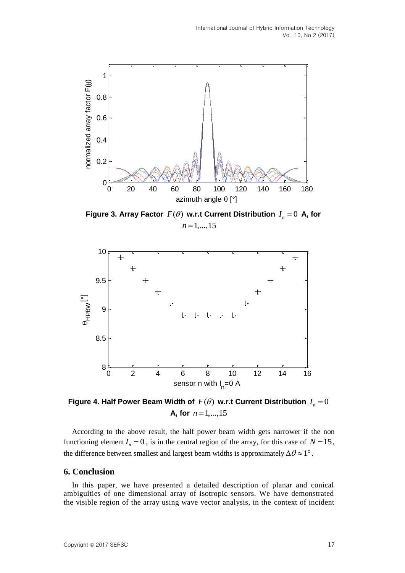

Figure 3. Array Factor  $F(\theta)$  w.r.t Current Distribution  $I_n = 0$  A, for  $n = 1, \ldots, 15$ 



Figure 4. Half Power Beam Width of  $F(\theta)$  w.r.t Current Distribution  $I_n$  =  $0$ **A, for**  $n = 1, ..., 15$ 

According to the above result, the half power beam width gets narrower if the non functioning element  $I_n = 0$ , is in the central region of the array, for this case of  $N = 15$ , the difference between smallest and largest beam widths is approximately  $\Delta\theta \approx 1^{\circ}$ .

#### **6. Conclusion**

In this paper, we have presented a detailed description of planar and conical ambiguities of one dimensional array of isotropic sensors. We have demonstrated the visible region of the array using wave vector analysis, in the context of incident